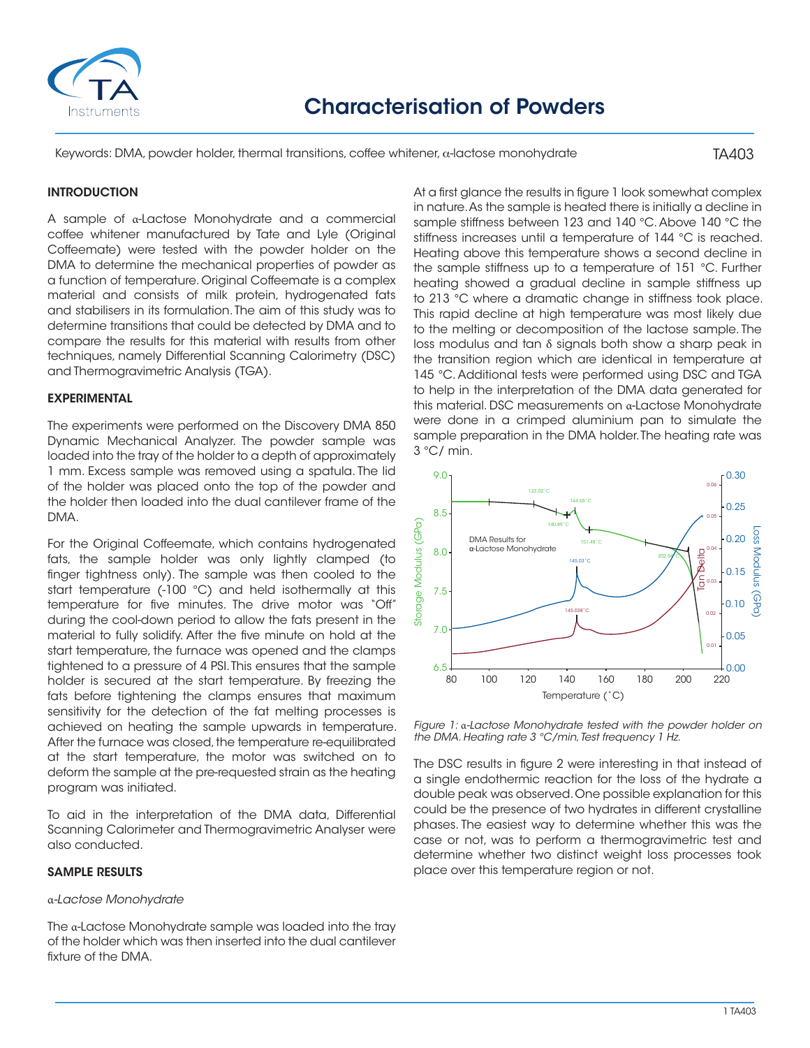

Keywords: DMA, powder holder, thermal transitions, coffee whitener, a-lactose monohydrate

# TA403

# INTRODUCTION

A sample of α-Lactose Monohydrate and a commercial coffee whitener manufactured by Tate and Lyle (Original Coffeemate) were tested with the powder holder on the DMA to determine the mechanical properties of powder as a function of temperature. Original Coffeemate is a complex material and consists of milk protein, hydrogenated fats and stabilisers in its formulation. The aim of this study was to determine transitions that could be detected by DMA and to compare the results for this material with results from other techniques, namely Differential Scanning Calorimetry (DSC) and Thermogravimetric Analysis (TGA).

### EXPERIMENTAL

The experiments were performed on the Discovery DMA 850 Dynamic Mechanical Analyzer. The powder sample was loaded into the tray of the holder to a depth of approximately 1 mm. Excess sample was removed using a spatula. The lid of the holder was placed onto the top of the powder and the holder then loaded into the dual cantilever frame of the DMA.

For the Original Coffeemate, which contains hydrogenated fats, the sample holder was only lightly clamped (to finger tightness only). The sample was then cooled to the start temperature (-100 °C) and held isothermally at this temperature for five minutes. The drive motor was "Off" during the cool-down period to allow the fats present in the material to fully solidify. After the five minute on hold at the start temperature, the furnace was opened and the clamps tightened to a pressure of 4 PSI. This ensures that the sample holder is secured at the start temperature. By freezing the fats before tightening the clamps ensures that maximum sensitivity for the detection of the fat melting processes is achieved on heating the sample upwards in temperature. After the furnace was closed, the temperature re-equilibrated at the start temperature, the motor was switched on to deform the sample at the pre-requested strain as the heating program was initiated.

To aid in the interpretation of the DMA data, Differential Scanning Calorimeter and Thermogravimetric Analyser were also conducted.

### SAMPLE RESULTS

### α*-Lactose Monohydrate*

The α-Lactose Monohydrate sample was loaded into the tray of the holder which was then inserted into the dual cantilever fixture of the DMA.

At a first glance the results in figure 1 look somewhat complex in nature. As the sample is heated there is initially a decline in sample stiffness between 123 and 140 °C. Above 140 °C the stiffness increases until a temperature of 144 °C is reached. Heating above this temperature shows a second decline in the sample stiffness up to a temperature of 151 °C. Further heating showed a gradual decline in sample stiffness up to 213 °C where a dramatic change in stiffness took place. This rapid decline at high temperature was most likely due to the melting or decomposition of the lactose sample. The loss modulus and tan δ signals both show a sharp peak in the transition region which are identical in temperature at 145 °C. Additional tests were performed using DSC and TGA to help in the interpretation of the DMA data generated for this material. DSC measurements on α-Lactose Monohydrate were done in a crimped aluminium pan to simulate the sample preparation in the DMA holder. The heating rate was 3 °C/ min.



*Figure 1:* α*-Lactose Monohydrate tested with the powder holder on the DMA. Heating rate 3 °C/min, Test frequency 1 Hz.*

The DSC results in figure 2 were interesting in that instead of a single endothermic reaction for the loss of the hydrate a double peak was observed. One possible explanation for this could be the presence of two hydrates in different crystalline phases. The easiest way to determine whether this was the case or not, was to perform a thermogravimetric test and determine whether two distinct weight loss processes took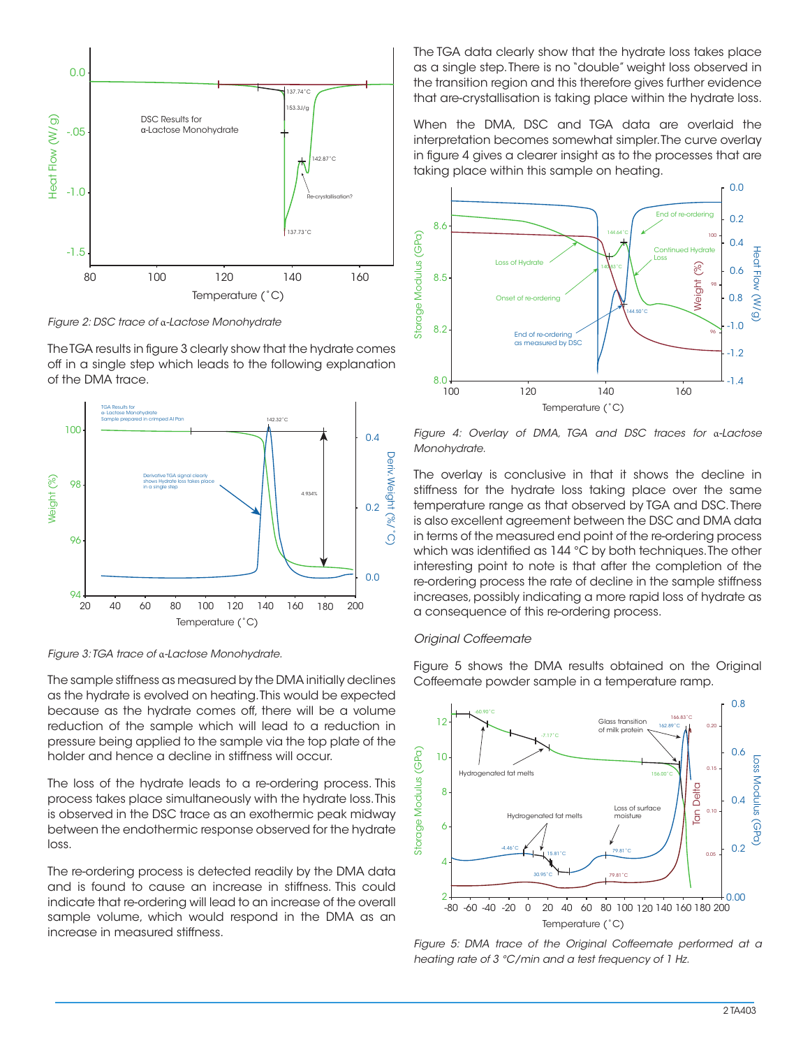

*Figure 2: DSC trace of* α*-Lactose Monohydrate*

The TGA results in figure 3 clearly show that the hydrate comes off in a single step which leads to the following explanation of the DMA trace.



*Figure 3: TGA trace of* α*-Lactose Monohydrate.*

The sample stiffness as measured by the DMA initially declines as the hydrate is evolved on heating. This would be expected because as the hydrate comes off, there will be a volume reduction of the sample which will lead to a reduction in pressure being applied to the sample via the top plate of the holder and hence a decline in stiffness will occur.

The loss of the hydrate leads to a re-ordering process. This process takes place simultaneously with the hydrate loss. This is observed in the DSC trace as an exothermic peak midway between the endothermic response observed for the hydrate loss.

The re-ordering process is detected readily by the DMA data and is found to cause an increase in stiffness. This could indicate that re-ordering will lead to an increase of the overall sample volume, which would respond in the DMA as an increase in measured stiffness.

The TGA data clearly show that the hydrate loss takes place as a single step. There is no "double" weight loss observed in the transition region and this therefore gives further evidence that are-crystallisation is taking place within the hydrate loss.

When the DMA, DSC and TGA data are overlaid the interpretation becomes somewhat simpler. The curve overlay in figure 4 gives a clearer insight as to the processes that are taking place within this sample on heating.



*Figure 4: Overlay of DMA, TGA and DSC traces for* α*-Lactose Monohydrate.*

The overlay is conclusive in that it shows the decline in stiffness for the hydrate loss taking place over the same temperature range as that observed by TGA and DSC. There is also excellent agreement between the DSC and DMA data in terms of the measured end point of the re-ordering process which was identified as 144 °C by both techniques. The other interesting point to note is that after the completion of the re-ordering process the rate of decline in the sample stiffness increases, possibly indicating a more rapid loss of hydrate as a consequence of this re-ordering process.

### *Original Coffeemate*

Figure 5 shows the DMA results obtained on the Original Coffeemate powder sample in a temperature ramp.



*Figure 5: DMA trace of the Original Coffeemate performed at a heating rate of 3 °C/min and a test frequency of 1 Hz.*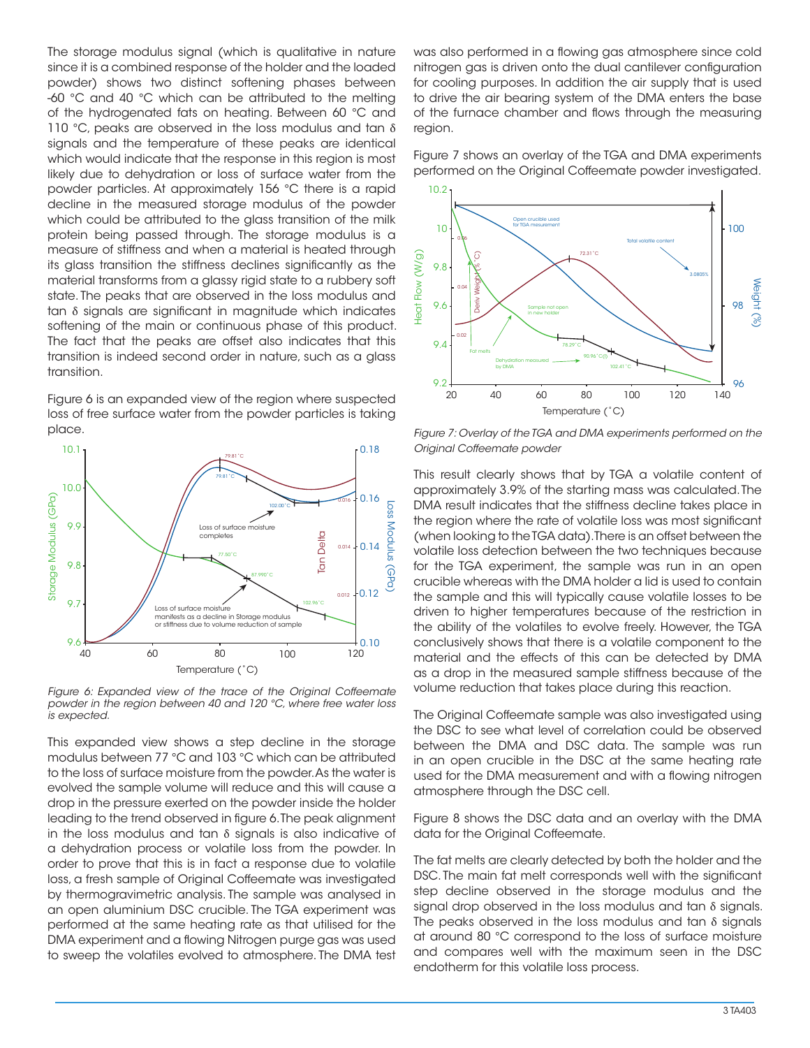The storage modulus signal (which is qualitative in nature since it is a combined response of the holder and the loaded powder) shows two distinct softening phases between -60 °C and 40 °C which can be attributed to the melting of the hydrogenated fats on heating. Between 60 °C and 110 °C, peaks are observed in the loss modulus and tan  $\delta$ signals and the temperature of these peaks are identical which would indicate that the response in this region is most likely due to dehydration or loss of surface water from the powder particles. At approximately 156 °C there is a rapid decline in the measured storage modulus of the powder which could be attributed to the glass transition of the milk protein being passed through. The storage modulus is a measure of stiffness and when a material is heated through its glass transition the stiffness declines significantly as the material transforms from a glassy rigid state to a rubbery soft state. The peaks that are observed in the loss modulus and tan δ signals are significant in magnitude which indicates softening of the main or continuous phase of this product. The fact that the peaks are offset also indicates that this transition is indeed second order in nature, such as a glass transition.

Figure 6 is an expanded view of the region where suspected loss of free surface water from the powder particles is taking place.



*Figure 6: Expanded view of the trace of the Original Coffeemate powder in the region between 40 and 120 °C, where free water loss is expected.*

This expanded view shows a step decline in the storage modulus between 77 °C and 103 °C which can be attributed to the loss of surface moisture from the powder. As the water is evolved the sample volume will reduce and this will cause a drop in the pressure exerted on the powder inside the holder leading to the trend observed in figure 6. The peak alignment in the loss modulus and tan  $\delta$  signals is also indicative of a dehydration process or volatile loss from the powder. In order to prove that this is in fact a response due to volatile loss, a fresh sample of Original Coffeemate was investigated by thermogravimetric analysis. The sample was analysed in an open aluminium DSC crucible. The TGA experiment was performed at the same heating rate as that utilised for the DMA experiment and a flowing Nitrogen purge gas was used to sweep the volatiles evolved to atmosphere. The DMA test was also performed in a flowing gas atmosphere since cold nitrogen gas is driven onto the dual cantilever configuration for cooling purposes. In addition the air supply that is used to drive the air bearing system of the DMA enters the base of the furnace chamber and flows through the measuring region.

Figure 7 shows an overlay of the TGA and DMA experiments performed on the Original Coffeemate powder investigated.



*Figure 7: Overlay of the TGA and DMA experiments performed on the Original Coffeemate powder*

This result clearly shows that by TGA a volatile content of approximately 3.9% of the starting mass was calculated. The DMA result indicates that the stiffness decline takes place in the region where the rate of volatile loss was most significant (when looking to the TGA data). There is an offset between the volatile loss detection between the two techniques because for the TGA experiment, the sample was run in an open crucible whereas with the DMA holder a lid is used to contain the sample and this will typically cause volatile losses to be driven to higher temperatures because of the restriction in the ability of the volatiles to evolve freely. However, the TGA conclusively shows that there is a volatile component to the material and the effects of this can be detected by DMA as a drop in the measured sample stiffness because of the volume reduction that takes place during this reaction.

The Original Coffeemate sample was also investigated using the DSC to see what level of correlation could be observed between the DMA and DSC data. The sample was run in an open crucible in the DSC at the same heating rate used for the DMA measurement and with a flowing nitrogen atmosphere through the DSC cell.

Figure 8 shows the DSC data and an overlay with the DMA data for the Original Coffeemate.

The fat melts are clearly detected by both the holder and the DSC. The main fat melt corresponds well with the significant step decline observed in the storage modulus and the signal drop observed in the loss modulus and tan  $\delta$  signals. The peaks observed in the loss modulus and tan  $\delta$  signals at around 80 °C correspond to the loss of surface moisture and compares well with the maximum seen in the DSC endotherm for this volatile loss process.